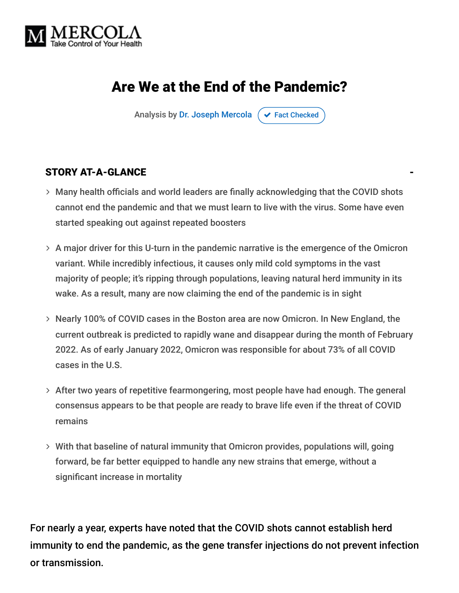

# Are We at the End of the Pandemic?

Analysis by [Dr. Joseph Mercola](https://www.mercola.com/forms/background.htm)  $\sigma$  [Fact Checked](javascript:void(0))

#### STORY AT-A-GLANCE

- Many health officials and world leaders are finally acknowledging that the COVID shots cannot end the pandemic and that we must learn to live with the virus. Some have even started speaking out against repeated boosters
- $>$  A major driver for this U-turn in the pandemic narrative is the emergence of the Omicron variant. While incredibly infectious, it causes only mild cold symptoms in the vast majority of people; it's ripping through populations, leaving natural herd immunity in its wake. As a result, many are now claiming the end of the pandemic is in sight
- Nearly 100% of COVID cases in the Boston area are now Omicron. In New England, the current outbreak is predicted to rapidly wane and disappear during the month of February 2022. As of early January 2022, Omicron was responsible for about 73% of all COVID cases in the U.S.
- $>$  After two years of repetitive fearmongering, most people have had enough. The general consensus appears to be that people are ready to brave life even if the threat of COVID remains
- With that baseline of natural immunity that Omicron provides, populations will, going forward, be far better equipped to handle any new strains that emerge, without a significant increase in mortality

For nearly a year, experts have noted that the COVID shots cannot establish herd immunity to end the pandemic, as the gene transfer injections do not prevent infection or transmission.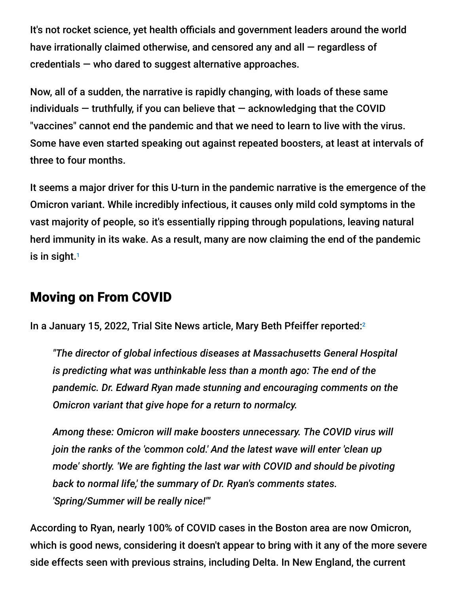It's not rocket science, yet health officials and government leaders around the world have irrationally claimed otherwise, and censored any and all — regardless of credentials — who dared to suggest alternative approaches.

Now, all of a sudden, the narrative is rapidly changing, with loads of these same individuals  $-$  truthfully, if you can believe that  $-$  acknowledging that the COVID "vaccines" cannot end the pandemic and that we need to learn to live with the virus. Some have even started speaking out against repeated boosters, at least at intervals of three to four months.

It seems a major driver for this U-turn in the pandemic narrative is the emergence of the Omicron variant. While incredibly infectious, it causes only mild cold symptoms in the vast majority of people, so it's essentially ripping through populations, leaving natural herd immunity in its wake. As a result, many are now claiming the end of the pandemic is in sight. 1

### Moving on From COVID

In a January 15, 2022, Trial Site News article, Mary Beth Pfeiffer reported: 2

*"The director of global infectious diseases at Massachusetts General Hospital is predicting what was unthinkable less than a month ago: The end of the pandemic. Dr. Edward Ryan made stunning and encouraging comments on the Omicron variant that give hope for a return to normalcy.*

*Among these: Omicron will make boosters unnecessary. The COVID virus will join the ranks of the 'common cold.' And the latest wave will enter 'clean up mode' shortly. 'We are fighting the last war with COVID and should be pivoting back to normal life,' the summary of Dr. Ryan's comments states. 'Spring/Summer will be really nice!'"*

According to Ryan, nearly 100% of COVID cases in the Boston area are now Omicron, which is good news, considering it doesn't appear to bring with it any of the more severe side effects seen with previous strains, including Delta. In New England, the current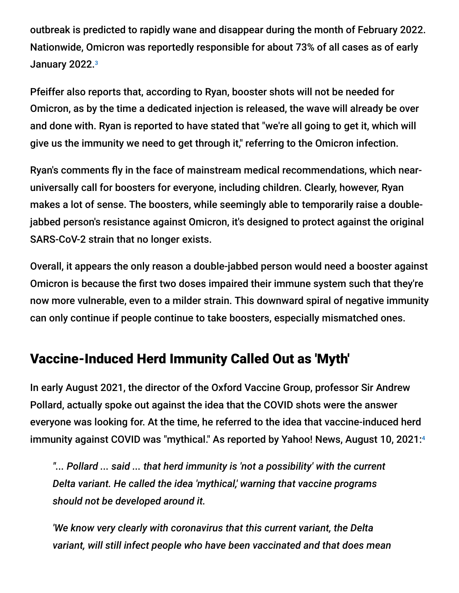outbreak is predicted to rapidly wane and disappear during the month of February 2022. Nationwide, Omicron was reportedly responsible for about 73% of all cases as of early January 2022.<sup>3</sup>

Pfeiffer also reports that, according to Ryan, booster shots will not be needed for Omicron, as by the time a dedicated injection is released, the wave will already be over and done with. Ryan is reported to have stated that "we're all going to get it, which will give us the immunity we need to get through it," referring to the Omicron infection.

Ryan's comments fly in the face of mainstream medical recommendations, which nearuniversally call for boosters for everyone, including children. Clearly, however, Ryan makes a lot of sense. The boosters, while seemingly able to temporarily raise a doublejabbed person's resistance against Omicron, it's designed to protect against the original SARS-CoV-2 strain that no longer exists.

Overall, it appears the only reason a double-jabbed person would need a booster against Omicron is because the first two doses impaired their immune system such that they're now more vulnerable, even to a milder strain. This downward spiral of negative immunity can only continue if people continue to take boosters, especially mismatched ones.

### Vaccine-Induced Herd Immunity Called Out as 'Myth'

In early August 2021, the director of the Oxford Vaccine Group, professor Sir Andrew Pollard, actually spoke out against the idea that the COVID shots were the answer everyone was looking for. At the time, he referred to the idea that vaccine-induced herd immunity against COVID was "mythical." As reported by Yahoo! News, August 10, 2021: 4

*"... Pollard ... said ... that herd immunity is 'not a possibility' with the current Delta variant. He called the idea 'mythical,' warning that vaccine programs should not be developed around it.*

*'We know very clearly with coronavirus that this current variant, the Delta variant, will still infect people who have been vaccinated and that does mean*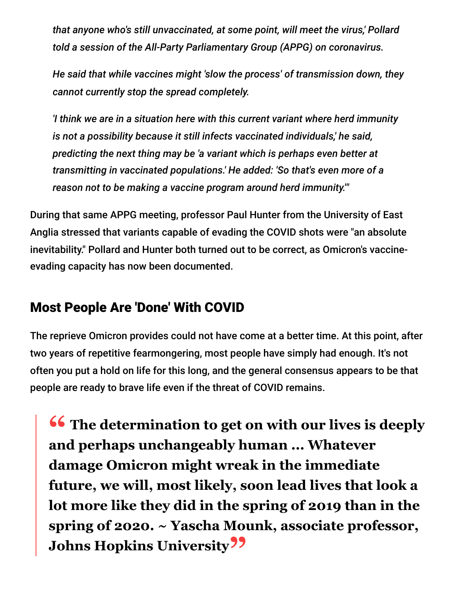*that anyone who's still unvaccinated, at some point, will meet the virus,' Pollard told a session of the All-Party Parliamentary Group (APPG) on coronavirus.*

*He said that while vaccines might 'slow the process' of transmission down, they cannot currently stop the spread completely.*

*'I think we are in a situation here with this current variant where herd immunity is not a possibility because it still infects vaccinated individuals,' he said, predicting the next thing may be 'a variant which is perhaps even better at transmitting in vaccinated populations.' He added: 'So that's even more of a reason not to be making a vaccine program around herd immunity.'"*

During that same APPG meeting, professor Paul Hunter from the University of East Anglia stressed that variants capable of evading the COVID shots were "an absolute inevitability." Pollard and Hunter both turned out to be correct, as Omicron's vaccineevading capacity has now been documented.

### Most People Are 'Done' With COVID

The reprieve Omicron provides could not have come at a better time. At this point, after two years of repetitive fearmongering, most people have simply had enough. It's not often you put a hold on life for this long, and the general consensus appears to be that people are ready to brave life even if the threat of COVID remains.

**<sup>66</sup>** The determination to get on with our lives is deeply and perhans unchangeably human Whatever **and perhaps unchangeably human ... Whatever damage Omicron might wreak in the immediate future, we will, most likely, soon lead lives that look a lot more like they did in the spring of 2019 than in the spring of 2020. ~ Yascha Mounk, associate professor, Johns Hopkins University"**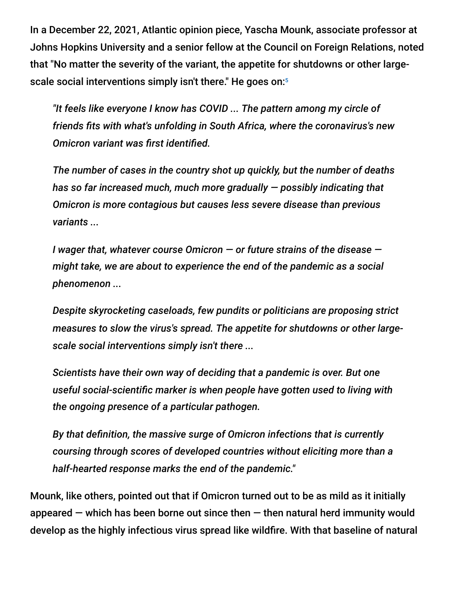In a December 22, 2021, Atlantic opinion piece, Yascha Mounk, associate professor at Johns Hopkins University and a senior fellow at the Council on Foreign Relations, noted that "No matter the severity of the variant, the appetite for shutdowns or other largescale social interventions simply isn't there." He goes on: $\mathfrak s$ 

*"It feels like everyone I know has COVID ... The pattern among my circle of friends fits with what's unfolding in South Africa, where the coronavirus's new Omicron variant was first identified.*

*The number of cases in the country shot up quickly, but the number of deaths has so far increased much, much more gradually — possibly indicating that Omicron is more contagious but causes less severe disease than previous variants ...*

*I wager that, whatever course Omicron — or future strains of the disease might take, we are about to experience the end of the pandemic as a social phenomenon ...*

*Despite skyrocketing caseloads, few pundits or politicians are proposing strict measures to slow the virus's spread. The appetite for shutdowns or other largescale social interventions simply isn't there ...*

*Scientists have their own way of deciding that a pandemic is over. But one useful social-scientific marker is when people have gotten used to living with the ongoing presence of a particular pathogen.*

*By that definition, the massive surge of Omicron infections that is currently coursing through scores of developed countries without eliciting more than a half-hearted response marks the end of the pandemic."*

Mounk, like others, pointed out that if Omicron turned out to be as mild as it initially appeared  $-$  which has been borne out since then  $-$  then natural herd immunity would develop as the highly infectious virus spread like wildfire. With that baseline of natural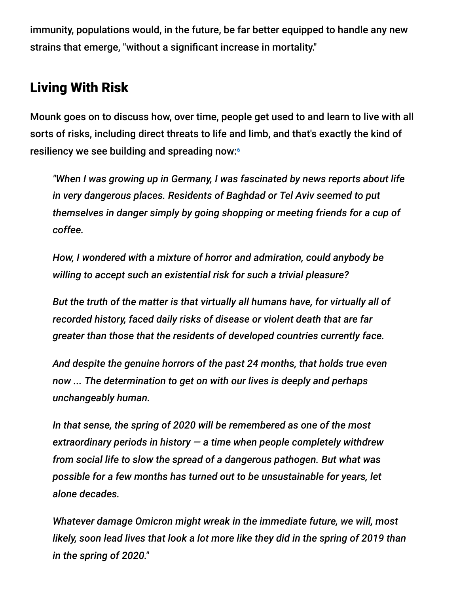immunity, populations would, in the future, be far better equipped to handle any new strains that emerge, "without a significant increase in mortality."

## Living With Risk

Mounk goes on to discuss how, over time, people get used to and learn to live with all sorts of risks, including direct threats to life and limb, and that's exactly the kind of resiliency we see building and spreading now: 6

*"When I was growing up in Germany, I was fascinated by news reports about life in very dangerous places. Residents of Baghdad or Tel Aviv seemed to put themselves in danger simply by going shopping or meeting friends for a cup of coffee.*

*How, I wondered with a mixture of horror and admiration, could anybody be willing to accept such an existential risk for such a trivial pleasure?*

*But the truth of the matter is that virtually all humans have, for virtually all of recorded history, faced daily risks of disease or violent death that are far greater than those that the residents of developed countries currently face.*

*And despite the genuine horrors of the past 24 months, that holds true even now ... The determination to get on with our lives is deeply and perhaps unchangeably human.*

*In that sense, the spring of 2020 will be remembered as one of the most extraordinary periods in history — a time when people completely withdrew from social life to slow the spread of a dangerous pathogen. But what was possible for a few months has turned out to be unsustainable for years, let alone decades.*

*Whatever damage Omicron might wreak in the immediate future, we will, most likely, soon lead lives that look a lot more like they did in the spring of 2019 than in the spring of 2020."*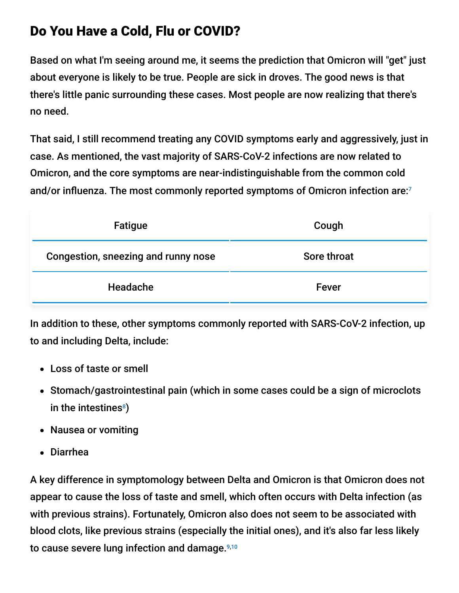## Do You Have a Cold, Flu or COVID?

Based on what I'm seeing around me, it seems the prediction that Omicron will "get" just about everyone is likely to be true. People are sick in droves. The good news is that there's little panic surrounding these cases. Most people are now realizing that there's no need.

That said, I still recommend treating any COVID symptoms early and aggressively, just in case. As mentioned, the vast majority of SARS-CoV-2 infections are now related to Omicron, and the core symptoms are near-indistinguishable from the common cold and/or influenza. The most commonly reported symptoms of Omicron infection are: 7

| Fatigue                             | Cough       |
|-------------------------------------|-------------|
| Congestion, sneezing and runny nose | Sore throat |
| Headache                            | Fever       |

In addition to these, other symptoms commonly reported with SARS-CoV-2 infection, up to and including Delta, include:

- Loss of taste or smell
- Stomach/gastrointestinal pain (which in some cases could be a sign of microclots in the intestines $^{\circ})$
- Nausea or vomiting
- Diarrhea

A key difference in symptomology between Delta and Omicron is that Omicron does not appear to cause the loss of taste and smell, which often occurs with Delta infection (as with previous strains). Fortunately, Omicron also does not seem to be associated with blood clots, like previous strains (especially the initial ones), and it's also far less likely to cause severe lung infection and damage. 9,10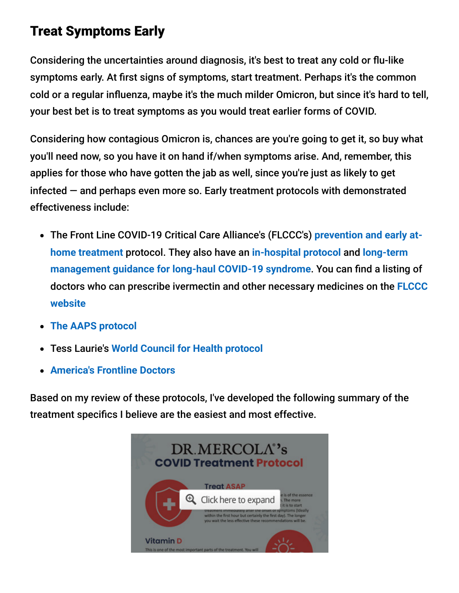## Treat Symptoms Early

Considering the uncertainties around diagnosis, it's best to treat any cold or flu-like symptoms early. At first signs of symptoms, start treatment. Perhaps it's the common cold or a regular influenza, maybe it's the much milder Omicron, but since it's hard to tell, your best bet is to treat symptoms as you would treat earlier forms of COVID.

Considering how contagious Omicron is, chances are you're going to get it, so buy what you'll need now, so you have it on hand if/when symptoms arise. And, remember, this applies for those who have gotten the jab as well, since you're just as likely to get infected — and perhaps even more so. Early treatment protocols with demonstrated effectiveness include:

- [The Front Line COVID-19 Critical Care Alliance's \(FLCCC's\)](https://covid19criticalcare.com/covid-19-protocols/i-mask-plus-protocol/) **prevention and early athome treatment** protocol. They also have an **[in-hospital protocol](https://covid19criticalcare.com/covid-19-protocols/math-plus-protocol/)** and **long-term [management guidance for long-haul COVID-19 syndrome](https://covid19criticalcare.com/covid-19-protocols/i-recover-protocol/)**. You can find a listing of [doctors who can prescribe ivermectin and other necessary medicines on the](https://covid19criticalcare.com/ivermectin-in-covid-19/how-to-get-ivermectin/) **FLCCC website**
- **[The AAPS protocol](https://aapsonline.org/CovidPatientTreatmentGuide.pdf)**
- Tess Laurie's **[World Council for Health protocol](https://worldcouncilforhealth.org/wp-content/uploads/2021/09/WCH-At-Home-Treatment-Guide_30-Sept-2021.pdf)**
- **[America's Frontline Doctors](https://americasfrontlinedoctors.org/covid/treatment-options/)**

Based on my review of these protocols, I've developed the following summary of the treatment specifics I believe are the easiest and most effective.